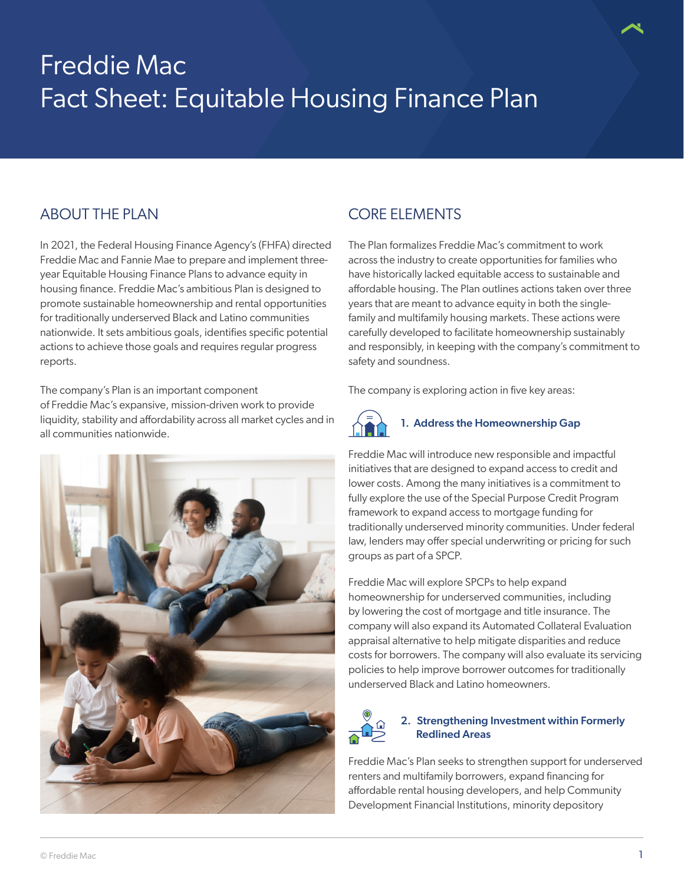# Freddie Mac Fact Sheet: Equitable Housing Finance Plan

## ABOUT THE PLAN

In 2021, the Federal Housing Finance Agency's (FHFA) directed Freddie Mac and Fannie Mae to prepare and implement threeyear Equitable Housing Finance Plans to advance equity in housing finance. Freddie Mac's ambitious Plan is designed to promote sustainable homeownership and rental opportunities for traditionally underserved Black and Latino communities nationwide. It sets ambitious goals, identifies specific potential actions to achieve those goals and requires regular progress reports.

The company's Plan is an important component of Freddie Mac's expansive, mission-driven work to provide liquidity, stability and affordability across all market cycles and in all communities nationwide.



# CORE ELEMENTS

The Plan formalizes Freddie Mac's commitment to work across the industry to create opportunities for families who have historically lacked equitable access to sustainable and affordable housing. The Plan outlines actions taken over three years that are meant to advance equity in both the singlefamily and multifamily housing markets. These actions were carefully developed to facilitate homeownership sustainably and responsibly, in keeping with the company's commitment to safety and soundness.

The company is exploring action in five key areas:



#### 1. Address the Homeownership Gap

Freddie Mac will introduce new responsible and impactful initiatives that are designed to expand access to credit and lower costs. Among the many initiatives is a commitment to fully explore the use of the Special Purpose Credit Program framework to expand access to mortgage funding for traditionally underserved minority communities. Under federal law, lenders may offer special underwriting or pricing for such groups as part of a SPCP.

Freddie Mac will explore SPCPs to help expand homeownership for underserved communities, including by lowering the cost of mortgage and title insurance. The company will also expand its Automated Collateral Evaluation appraisal alternative to help mitigate disparities and reduce costs for borrowers. The company will also evaluate its servicing policies to help improve borrower outcomes for traditionally underserved Black and Latino homeowners.



#### 2. Strengthening Investment within Formerly Redlined Areas

Freddie Mac's Plan seeks to strengthen support for underserved renters and multifamily borrowers, expand financing for affordable rental housing developers, and help Community Development Financial Institutions, minority depository